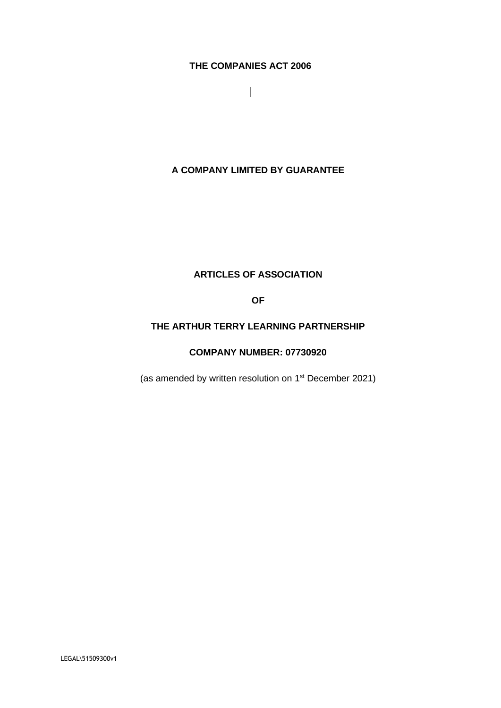#### **THE COMPANIES ACT 2006**

 $\begin{array}{c} \hline \end{array}$ 

### **A COMPANY LIMITED BY GUARANTEE**

# **ARTICLES OF ASSOCIATION**

**OF**

#### **THE ARTHUR TERRY LEARNING PARTNERSHIP**

### **COMPANY NUMBER: 07730920**

(as amended by written resolution on 1<sup>st</sup> December 2021)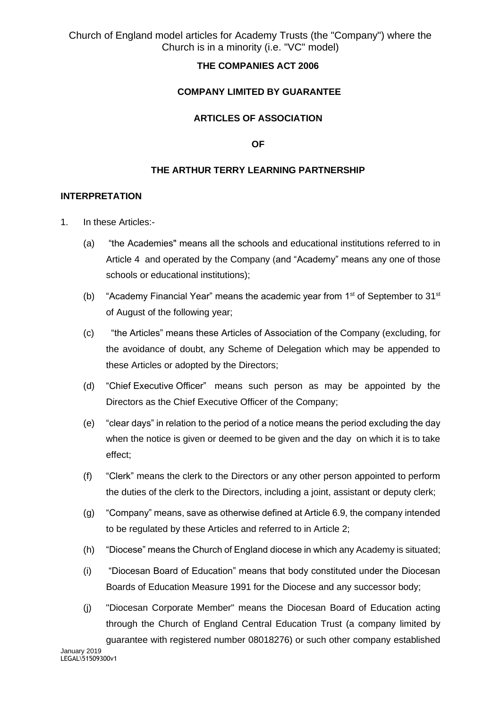### **THE COMPANIES ACT 2006**

#### **COMPANY LIMITED BY GUARANTEE**

#### **ARTICLES OF ASSOCIATION**

**OF**

#### **THE ARTHUR TERRY LEARNING PARTNERSHIP**

#### **INTERPRETATION**

- 1. In these Articles:-
	- (a) "the Academies" means all the schools and educational institutions referred to in Article 4 and operated by the Company (and "Academy" means any one of those schools or educational institutions);
	- (b) "Academy Financial Year" means the academic year from  $1<sup>st</sup>$  of September to  $31<sup>st</sup>$ of August of the following year;
	- (c) "the Articles" means these Articles of Association of the Company (excluding, for the avoidance of doubt, any Scheme of Delegation which may be appended to these Articles or adopted by the Directors;
	- (d) "Chief Executive Officer" means such person as may be appointed by the Directors as the Chief Executive Officer of the Company;
	- (e) "clear days" in relation to the period of a notice means the period excluding the day when the notice is given or deemed to be given and the day on which it is to take effect;
	- (f) "Clerk" means the clerk to the Directors or any other person appointed to perform the duties of the clerk to the Directors, including a joint, assistant or deputy clerk;
	- (g) "Company" means, save as otherwise defined at Article 6.9, the company intended to be regulated by these Articles and referred to in Article 2;
	- (h) "Diocese" means the Church of England diocese in which any Academy is situated;
	- (i) "Diocesan Board of Education" means that body constituted under the Diocesan Boards of Education Measure 1991 for the Diocese and any successor body;
	- (j) "Diocesan Corporate Member" means the Diocesan Board of Education acting through the Church of England Central Education Trust (a company limited by guarantee with registered number 08018276) or such other company established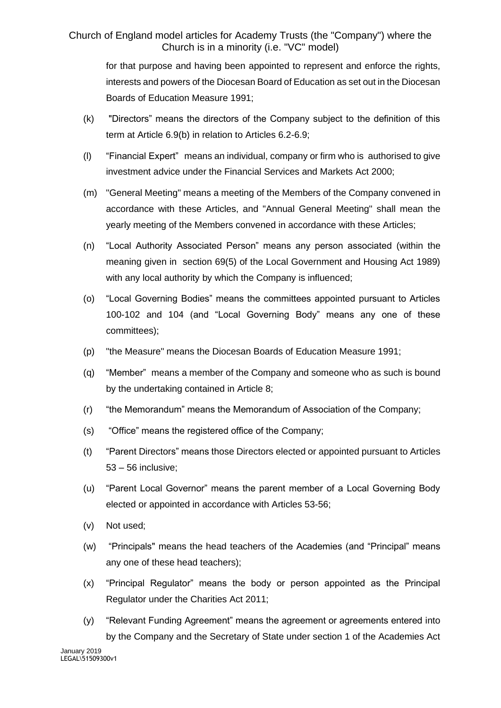for that purpose and having been appointed to represent and enforce the rights, interests and powers of the Diocesan Board of Education as set out in the Diocesan Boards of Education Measure 1991;

- (k) "Directors" means the directors of the Company subject to the definition of this term at Article 6.9(b) in relation to Articles 6.2-6.9;
- (l) "Financial Expert" means an individual, company or firm who is authorised to give investment advice under the Financial Services and Markets Act 2000;
- (m) "General Meeting" means a meeting of the Members of the Company convened in accordance with these Articles, and "Annual General Meeting" shall mean the yearly meeting of the Members convened in accordance with these Articles;
- (n) "Local Authority Associated Person" means any person associated (within the meaning given in section 69(5) of the Local Government and Housing Act 1989) with any local authority by which the Company is influenced;
- (o) "Local Governing Bodies" means the committees appointed pursuant to Articles 100-102 and 104 (and "Local Governing Body" means any one of these committees);
- (p) "the Measure" means the Diocesan Boards of Education Measure 1991;
- (q) "Member" means a member of the Company and someone who as such is bound by the undertaking contained in Article 8;
- (r) "the Memorandum" means the Memorandum of Association of the Company;
- (s) "Office" means the registered office of the Company;
- (t) "Parent Directors" means those Directors elected or appointed pursuant to Articles 53 – 56 inclusive;
- (u) "Parent Local Governor" means the parent member of a Local Governing Body elected or appointed in accordance with Articles 53-56;
- (v) Not used;
- (w) "Principals" means the head teachers of the Academies (and "Principal" means any one of these head teachers);
- (x) "Principal Regulator" means the body or person appointed as the Principal Regulator under the Charities Act 2011;
- (y) "Relevant Funding Agreement" means the agreement or agreements entered into by the Company and the Secretary of State under section 1 of the Academies Act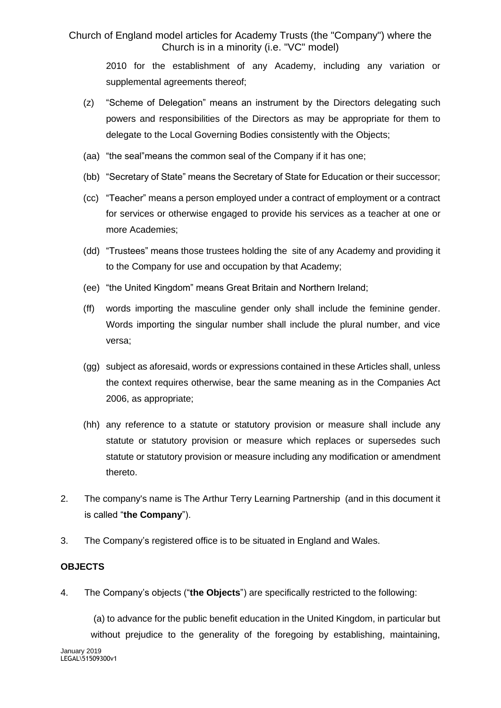2010 for the establishment of any Academy, including any variation or supplemental agreements thereof;

- (z) "Scheme of Delegation" means an instrument by the Directors delegating such powers and responsibilities of the Directors as may be appropriate for them to delegate to the Local Governing Bodies consistently with the Objects;
- (aa) "the seal"means the common seal of the Company if it has one;
- (bb) "Secretary of State" means the Secretary of State for Education or their successor;
- (cc) "Teacher" means a person employed under a contract of employment or a contract for services or otherwise engaged to provide his services as a teacher at one or more Academies;
- (dd) "Trustees" means those trustees holding the site of any Academy and providing it to the Company for use and occupation by that Academy;
- (ee) "the United Kingdom" means Great Britain and Northern Ireland;
- (ff) words importing the masculine gender only shall include the feminine gender. Words importing the singular number shall include the plural number, and vice versa;
- (gg) subject as aforesaid, words or expressions contained in these Articles shall, unless the context requires otherwise, bear the same meaning as in the Companies Act 2006, as appropriate;
- (hh) any reference to a statute or statutory provision or measure shall include any statute or statutory provision or measure which replaces or supersedes such statute or statutory provision or measure including any modification or amendment thereto.
- 2. The company's name is The Arthur Terry Learning Partnership (and in this document it is called "**the Company**").
- 3. The Company's registered office is to be situated in England and Wales.

#### **OBJECTS**

4. The Company's objects ("**the Objects**") are specifically restricted to the following:

January 2019 LEGAL\51509300v1 (a) to advance for the public benefit education in the United Kingdom, in particular but without prejudice to the generality of the foregoing by establishing, maintaining,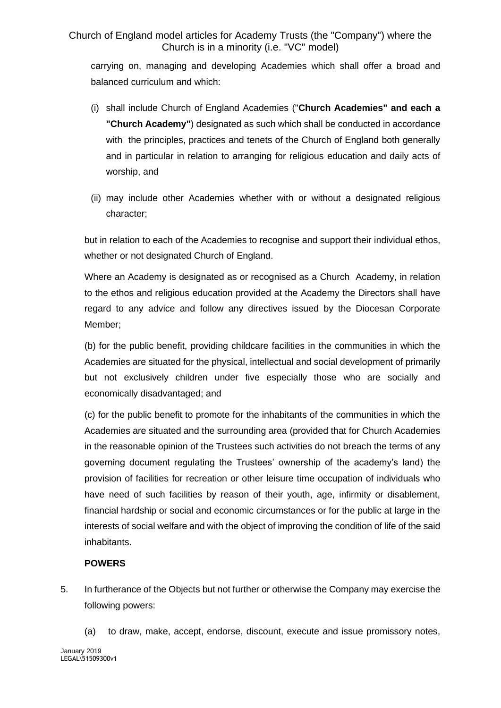carrying on, managing and developing Academies which shall offer a broad and balanced curriculum and which:

- (i) shall include Church of England Academies ("**Church Academies" and each a "Church Academy"**) designated as such which shall be conducted in accordance with the principles, practices and tenets of the Church of England both generally and in particular in relation to arranging for religious education and daily acts of worship, and
- (ii) may include other Academies whether with or without a designated religious character;

but in relation to each of the Academies to recognise and support their individual ethos, whether or not designated Church of England.

Where an Academy is designated as or recognised as a Church Academy, in relation to the ethos and religious education provided at the Academy the Directors shall have regard to any advice and follow any directives issued by the Diocesan Corporate Member;

(b) for the public benefit, providing childcare facilities in the communities in which the Academies are situated for the physical, intellectual and social development of primarily but not exclusively children under five especially those who are socially and economically disadvantaged; and

(c) for the public benefit to promote for the inhabitants of the communities in which the Academies are situated and the surrounding area (provided that for Church Academies in the reasonable opinion of the Trustees such activities do not breach the terms of any governing document regulating the Trustees' ownership of the academy's land) the provision of facilities for recreation or other leisure time occupation of individuals who have need of such facilities by reason of their youth, age, infirmity or disablement, financial hardship or social and economic circumstances or for the public at large in the interests of social welfare and with the object of improving the condition of life of the said inhabitants.

## **POWERS**

- 5. In furtherance of the Objects but not further or otherwise the Company may exercise the following powers:
	- (a) to draw, make, accept, endorse, discount, execute and issue promissory notes,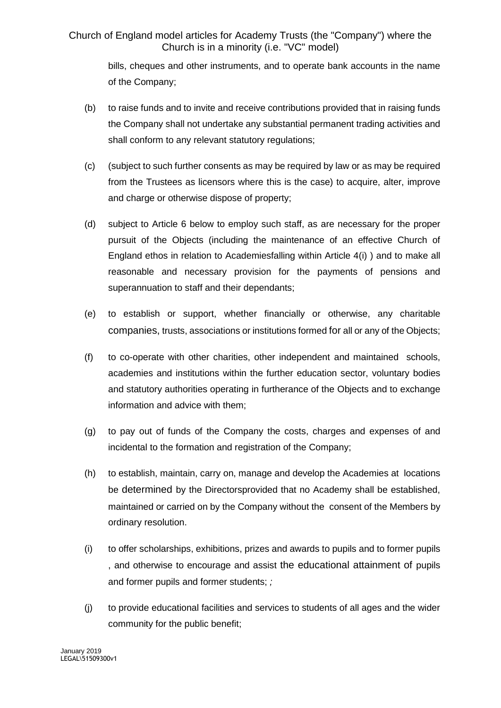bills, cheques and other instruments, and to operate bank accounts in the name of the Company;

- (b) to raise funds and to invite and receive contributions provided that in raising funds the Company shall not undertake any substantial permanent trading activities and shall conform to any relevant statutory regulations;
- (c) (subject to such further consents as may be required by law or as may be required from the Trustees as licensors where this is the case) to acquire, alter, improve and charge or otherwise dispose of property;
- (d) subject to Article 6 below to employ such staff, as are necessary for the proper pursuit of the Objects (including the maintenance of an effective Church of England ethos in relation to Academiesfalling within Article 4(i) ) and to make all reasonable and necessary provision for the payments of pensions and superannuation to staff and their dependants;
- (e) to establish or support, whether financially or otherwise, any charitable companies, trusts, associations or institutions formed for all or any of the Objects;
- (f) to co-operate with other charities, other independent and maintained schools, academies and institutions within the further education sector, voluntary bodies and statutory authorities operating in furtherance of the Objects and to exchange information and advice with them;
- (g) to pay out of funds of the Company the costs, charges and expenses of and incidental to the formation and registration of the Company:
- (h) to establish, maintain, carry on, manage and develop the Academies at locations be determined by the Directorsprovided that no Academy shall be established, maintained or carried on by the Company without the consent of the Members by ordinary resolution.
- (i) to offer scholarships, exhibitions, prizes and awards to pupils and to former pupils , and otherwise to encourage and assist the educational attainment of pupils and former pupils and former students; *;*
- (j) to provide educational facilities and services to students of all ages and the wider community for the public benefit;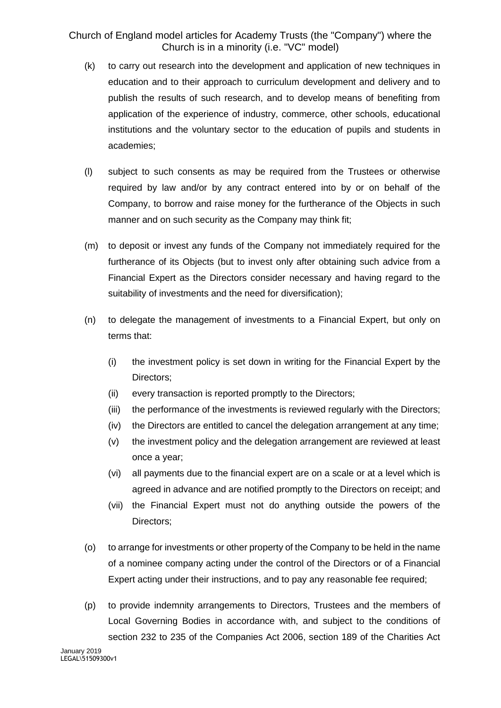- (k) to carry out research into the development and application of new techniques in education and to their approach to curriculum development and delivery and to publish the results of such research, and to develop means of benefiting from application of the experience of industry, commerce, other schools, educational institutions and the voluntary sector to the education of pupils and students in academies;
- (l) subject to such consents as may be required from the Trustees or otherwise required by law and/or by any contract entered into by or on behalf of the Company, to borrow and raise money for the furtherance of the Objects in such manner and on such security as the Company may think fit;
- (m) to deposit or invest any funds of the Company not immediately required for the furtherance of its Objects (but to invest only after obtaining such advice from a Financial Expert as the Directors consider necessary and having regard to the suitability of investments and the need for diversification);
- (n) to delegate the management of investments to a Financial Expert, but only on terms that:
	- (i) the investment policy is set down in writing for the Financial Expert by the Directors;
	- (ii) every transaction is reported promptly to the Directors;
	- (iii) the performance of the investments is reviewed regularly with the Directors;
	- (iv) the Directors are entitled to cancel the delegation arrangement at any time;
	- (v) the investment policy and the delegation arrangement are reviewed at least once a year;
	- (vi) all payments due to the financial expert are on a scale or at a level which is agreed in advance and are notified promptly to the Directors on receipt; and
	- (vii) the Financial Expert must not do anything outside the powers of the Directors;
- (o) to arrange for investments or other property of the Company to be held in the name of a nominee company acting under the control of the Directors or of a Financial Expert acting under their instructions, and to pay any reasonable fee required;
- (p) to provide indemnity arrangements to Directors, Trustees and the members of Local Governing Bodies in accordance with, and subject to the conditions of section 232 to 235 of the Companies Act 2006, section 189 of the Charities Act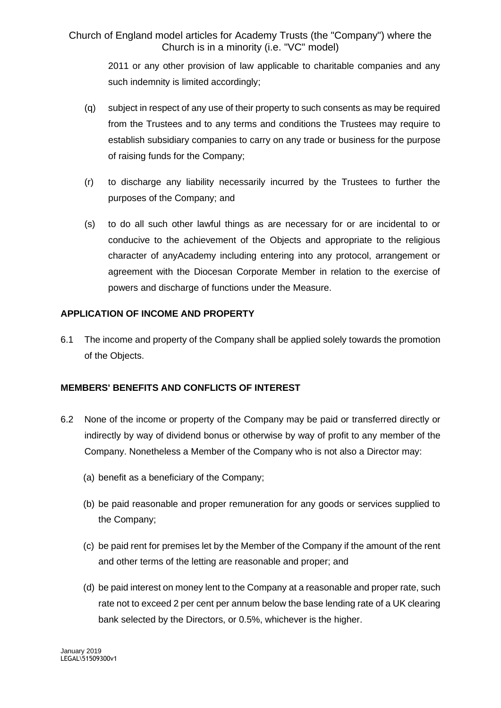> 2011 or any other provision of law applicable to charitable companies and any such indemnity is limited accordingly;

- (q) subject in respect of any use of their property to such consents as may be required from the Trustees and to any terms and conditions the Trustees may require to establish subsidiary companies to carry on any trade or business for the purpose of raising funds for the Company;
- (r) to discharge any liability necessarily incurred by the Trustees to further the purposes of the Company; and
- (s) to do all such other lawful things as are necessary for or are incidental to or conducive to the achievement of the Objects and appropriate to the religious character of anyAcademy including entering into any protocol, arrangement or agreement with the Diocesan Corporate Member in relation to the exercise of powers and discharge of functions under the Measure.

### **APPLICATION OF INCOME AND PROPERTY**

6.1 The income and property of the Company shall be applied solely towards the promotion of the Objects.

## **MEMBERS' BENEFITS AND CONFLICTS OF INTEREST**

- 6.2 None of the income or property of the Company may be paid or transferred directly or indirectly by way of dividend bonus or otherwise by way of profit to any member of the Company. Nonetheless a Member of the Company who is not also a Director may:
	- (a) benefit as a beneficiary of the Company;
	- (b) be paid reasonable and proper remuneration for any goods or services supplied to the Company;
	- (c) be paid rent for premises let by the Member of the Company if the amount of the rent and other terms of the letting are reasonable and proper; and
	- (d) be paid interest on money lent to the Company at a reasonable and proper rate, such rate not to exceed 2 per cent per annum below the base lending rate of a UK clearing bank selected by the Directors, or 0.5%, whichever is the higher.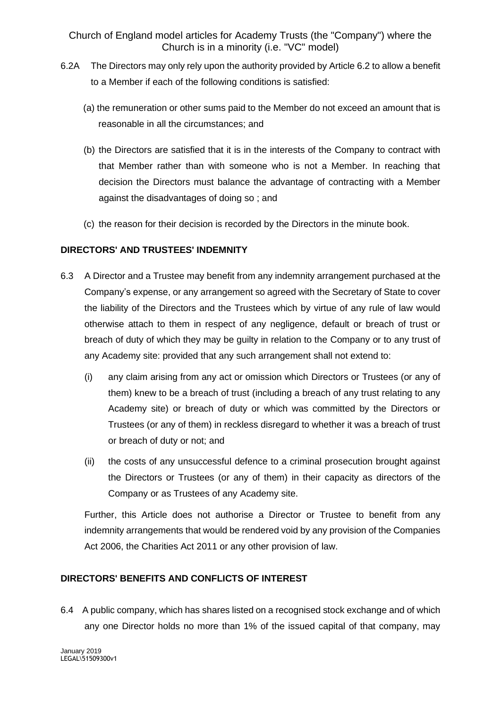- 6.2A The Directors may only rely upon the authority provided by Article 6.2 to allow a benefit to a Member if each of the following conditions is satisfied:
	- (a) the remuneration or other sums paid to the Member do not exceed an amount that is reasonable in all the circumstances; and
	- (b) the Directors are satisfied that it is in the interests of the Company to contract with that Member rather than with someone who is not a Member. In reaching that decision the Directors must balance the advantage of contracting with a Member against the disadvantages of doing so ; and
	- (c) the reason for their decision is recorded by the Directors in the minute book.

# **DIRECTORS' AND TRUSTEES' INDEMNITY**

- 6.3 A Director and a Trustee may benefit from any indemnity arrangement purchased at the Company's expense, or any arrangement so agreed with the Secretary of State to cover the liability of the Directors and the Trustees which by virtue of any rule of law would otherwise attach to them in respect of any negligence, default or breach of trust or breach of duty of which they may be guilty in relation to the Company or to any trust of any Academy site: provided that any such arrangement shall not extend to:
	- (i) any claim arising from any act or omission which Directors or Trustees (or any of them) knew to be a breach of trust (including a breach of any trust relating to any Academy site) or breach of duty or which was committed by the Directors or Trustees (or any of them) in reckless disregard to whether it was a breach of trust or breach of duty or not; and
	- (ii) the costs of any unsuccessful defence to a criminal prosecution brought against the Directors or Trustees (or any of them) in their capacity as directors of the Company or as Trustees of any Academy site.

Further, this Article does not authorise a Director or Trustee to benefit from any indemnity arrangements that would be rendered void by any provision of the Companies Act 2006, the Charities Act 2011 or any other provision of law.

## **DIRECTORS' BENEFITS AND CONFLICTS OF INTEREST**

6.4 A public company, which has shares listed on a recognised stock exchange and of which any one Director holds no more than 1% of the issued capital of that company, may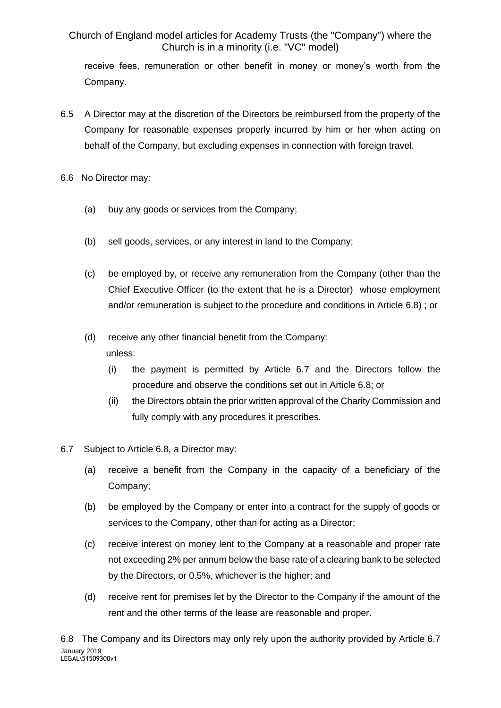receive fees, remuneration or other benefit in money or money's worth from the Company.

- 6.5 A Director may at the discretion of the Directors be reimbursed from the property of the Company for reasonable expenses properly incurred by him or her when acting on behalf of the Company, but excluding expenses in connection with foreign travel.
- 6.6 No Director may:
	- (a) buy any goods or services from the Company;
	- (b) sell goods, services, or any interest in land to the Company;
	- (c) be employed by, or receive any remuneration from the Company (other than the Chief Executive Officer (to the extent that he is a Director) whose employment and/or remuneration is subject to the procedure and conditions in Article 6.8) ; or
	- (d) receive any other financial benefit from the Company: unless:
		- (i) the payment is permitted by Article 6.7 and the Directors follow the procedure and observe the conditions set out in Article 6.8; or
		- (ii) the Directors obtain the prior written approval of the Charity Commission and fully comply with any procedures it prescribes.
- 6.7 Subject to Article 6.8, a Director may:
	- (a) receive a benefit from the Company in the capacity of a beneficiary of the Company;
	- (b) be employed by the Company or enter into a contract for the supply of goods or services to the Company, other than for acting as a Director;
	- (c) receive interest on money lent to the Company at a reasonable and proper rate not exceeding 2% per annum below the base rate of a clearing bank to be selected by the Directors, or 0.5%, whichever is the higher; and
	- (d) receive rent for premises let by the Director to the Company if the amount of the rent and the other terms of the lease are reasonable and proper.

January 2019 LEGAL\51509300v1 6.8 The Company and its Directors may only rely upon the authority provided by Article 6.7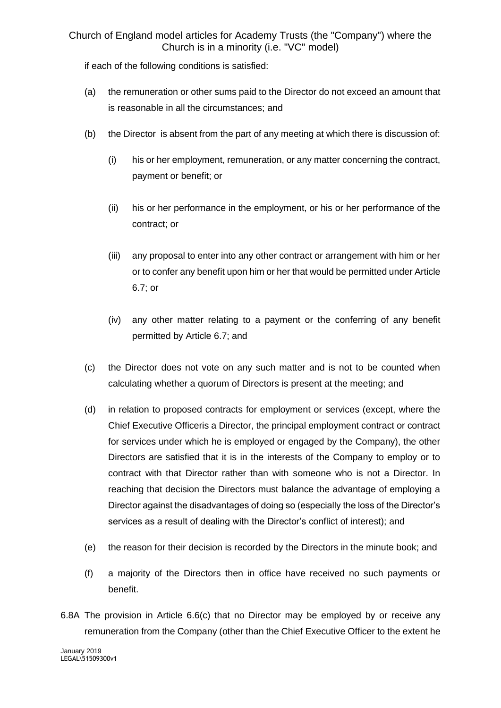if each of the following conditions is satisfied:

- (a) the remuneration or other sums paid to the Director do not exceed an amount that is reasonable in all the circumstances; and
- (b) the Director is absent from the part of any meeting at which there is discussion of:
	- (i) his or her employment, remuneration, or any matter concerning the contract, payment or benefit; or
	- (ii) his or her performance in the employment, or his or her performance of the contract; or
	- (iii) any proposal to enter into any other contract or arrangement with him or her or to confer any benefit upon him or her that would be permitted under Article 6.7; or
	- (iv) any other matter relating to a payment or the conferring of any benefit permitted by Article 6.7; and
- (c) the Director does not vote on any such matter and is not to be counted when calculating whether a quorum of Directors is present at the meeting; and
- (d) in relation to proposed contracts for employment or services (except, where the Chief Executive Officeris a Director, the principal employment contract or contract for services under which he is employed or engaged by the Company), the other Directors are satisfied that it is in the interests of the Company to employ or to contract with that Director rather than with someone who is not a Director. In reaching that decision the Directors must balance the advantage of employing a Director against the disadvantages of doing so (especially the loss of the Director's services as a result of dealing with the Director's conflict of interest); and
- (e) the reason for their decision is recorded by the Directors in the minute book; and
- (f) a majority of the Directors then in office have received no such payments or benefit.
- 6.8A The provision in Article 6.6(c) that no Director may be employed by or receive any remuneration from the Company (other than the Chief Executive Officer to the extent he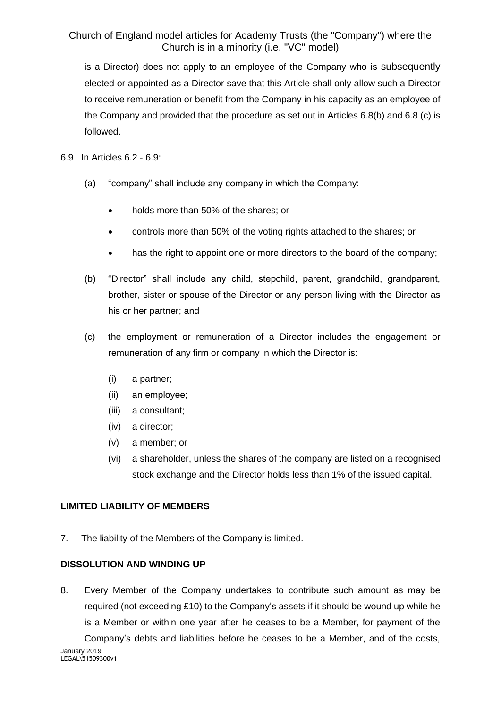is a Director) does not apply to an employee of the Company who is subsequently elected or appointed as a Director save that this Article shall only allow such a Director to receive remuneration or benefit from the Company in his capacity as an employee of the Company and provided that the procedure as set out in Articles 6.8(b) and 6.8 (c) is followed.

6.9 In Articles 6.2 - 6.9:

- (a) "company" shall include any company in which the Company:
	- holds more than 50% of the shares; or
	- controls more than 50% of the voting rights attached to the shares; or
	- has the right to appoint one or more directors to the board of the company;
- (b) "Director" shall include any child, stepchild, parent, grandchild, grandparent, brother, sister or spouse of the Director or any person living with the Director as his or her partner; and
- (c) the employment or remuneration of a Director includes the engagement or remuneration of any firm or company in which the Director is:
	- (i) a partner;
	- (ii) an employee;
	- (iii) a consultant;
	- (iv) a director;
	- (v) a member; or
	- (vi) a shareholder, unless the shares of the company are listed on a recognised stock exchange and the Director holds less than 1% of the issued capital.

#### **LIMITED LIABILITY OF MEMBERS**

7. The liability of the Members of the Company is limited.

## **DISSOLUTION AND WINDING UP**

8. Every Member of the Company undertakes to contribute such amount as may be required (not exceeding £10) to the Company's assets if it should be wound up while he is a Member or within one year after he ceases to be a Member, for payment of the Company's debts and liabilities before he ceases to be a Member, and of the costs,

January 2019 LEGAL\51509300v1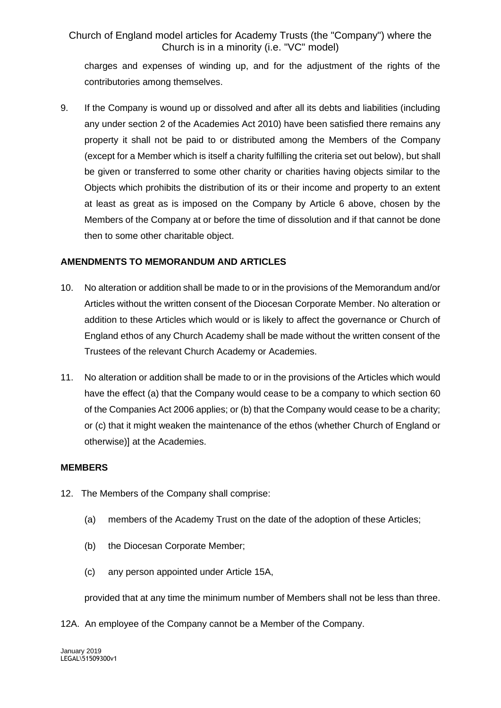charges and expenses of winding up, and for the adjustment of the rights of the contributories among themselves.

9. If the Company is wound up or dissolved and after all its debts and liabilities (including any under section 2 of the Academies Act 2010) have been satisfied there remains any property it shall not be paid to or distributed among the Members of the Company (except for a Member which is itself a charity fulfilling the criteria set out below), but shall be given or transferred to some other charity or charities having objects similar to the Objects which prohibits the distribution of its or their income and property to an extent at least as great as is imposed on the Company by Article 6 above, chosen by the Members of the Company at or before the time of dissolution and if that cannot be done then to some other charitable object.

## **AMENDMENTS TO MEMORANDUM AND ARTICLES**

- 10. No alteration or addition shall be made to or in the provisions of the Memorandum and/or Articles without the written consent of the Diocesan Corporate Member. No alteration or addition to these Articles which would or is likely to affect the governance or Church of England ethos of any Church Academy shall be made without the written consent of the Trustees of the relevant Church Academy or Academies.
- 11. No alteration or addition shall be made to or in the provisions of the Articles which would have the effect (a) that the Company would cease to be a company to which section 60 of the Companies Act 2006 applies; or (b) that the Company would cease to be a charity; or (c) that it might weaken the maintenance of the ethos (whether Church of England or otherwise)] at the Academies.

#### **MEMBERS**

- 12. The Members of the Company shall comprise:
	- (a) members of the Academy Trust on the date of the adoption of these Articles;
	- (b) the Diocesan Corporate Member;
	- (c) any person appointed under Article 15A,

provided that at any time the minimum number of Members shall not be less than three.

12A. An employee of the Company cannot be a Member of the Company.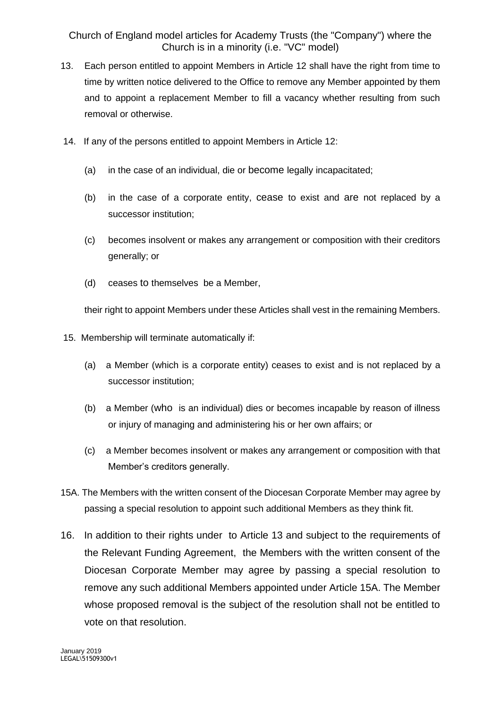- 13. Each person entitled to appoint Members in Article 12 shall have the right from time to time by written notice delivered to the Office to remove any Member appointed by them and to appoint a replacement Member to fill a vacancy whether resulting from such removal or otherwise.
- 14. If any of the persons entitled to appoint Members in Article 12:
	- (a) in the case of an individual, die or become legally incapacitated;
	- (b) in the case of a corporate entity, cease to exist and are not replaced by a successor institution;
	- (c) becomes insolvent or makes any arrangement or composition with their creditors generally; or
	- (d) ceases to themselves be a Member,

their right to appoint Members under these Articles shall vest in the remaining Members.

- 15. Membership will terminate automatically if:
	- (a) a Member (which is a corporate entity) ceases to exist and is not replaced by a successor institution;
	- (b) a Member (who is an individual) dies or becomes incapable by reason of illness or injury of managing and administering his or her own affairs; or
	- (c) a Member becomes insolvent or makes any arrangement or composition with that Member's creditors generally.
- 15A. The Members with the written consent of the Diocesan Corporate Member may agree by passing a special resolution to appoint such additional Members as they think fit.
- 16. In addition to their rights under to Article 13 and subject to the requirements of the Relevant Funding Agreement, the Members with the written consent of the Diocesan Corporate Member may agree by passing a special resolution to remove any such additional Members appointed under Article 15A. The Member whose proposed removal is the subject of the resolution shall not be entitled to vote on that resolution.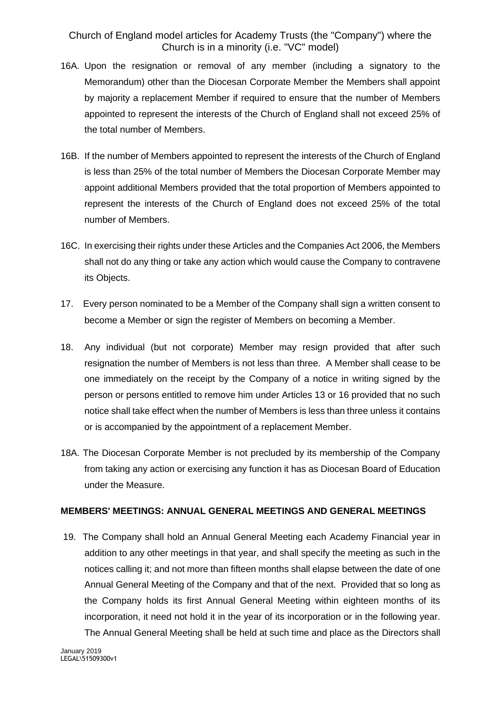- 16A. Upon the resignation or removal of any member (including a signatory to the Memorandum) other than the Diocesan Corporate Member the Members shall appoint by majority a replacement Member if required to ensure that the number of Members appointed to represent the interests of the Church of England shall not exceed 25% of the total number of Members.
- 16B. If the number of Members appointed to represent the interests of the Church of England is less than 25% of the total number of Members the Diocesan Corporate Member may appoint additional Members provided that the total proportion of Members appointed to represent the interests of the Church of England does not exceed 25% of the total number of Members.
- 16C. In exercising their rights under these Articles and the Companies Act 2006, the Members shall not do any thing or take any action which would cause the Company to contravene its Objects.
- 17. Every person nominated to be a Member of the Company shall sign a written consent to become a Member or sign the register of Members on becoming a Member.
- 18. Any individual (but not corporate) Member may resign provided that after such resignation the number of Members is not less than three. A Member shall cease to be one immediately on the receipt by the Company of a notice in writing signed by the person or persons entitled to remove him under Articles 13 or 16 provided that no such notice shall take effect when the number of Members is less than three unless it contains or is accompanied by the appointment of a replacement Member.
- 18A. The Diocesan Corporate Member is not precluded by its membership of the Company from taking any action or exercising any function it has as Diocesan Board of Education under the Measure.

## **MEMBERS' MEETINGS: ANNUAL GENERAL MEETINGS AND GENERAL MEETINGS**

19. The Company shall hold an Annual General Meeting each Academy Financial year in addition to any other meetings in that year, and shall specify the meeting as such in the notices calling it; and not more than fifteen months shall elapse between the date of one Annual General Meeting of the Company and that of the next. Provided that so long as the Company holds its first Annual General Meeting within eighteen months of its incorporation, it need not hold it in the year of its incorporation or in the following year. The Annual General Meeting shall be held at such time and place as the Directors shall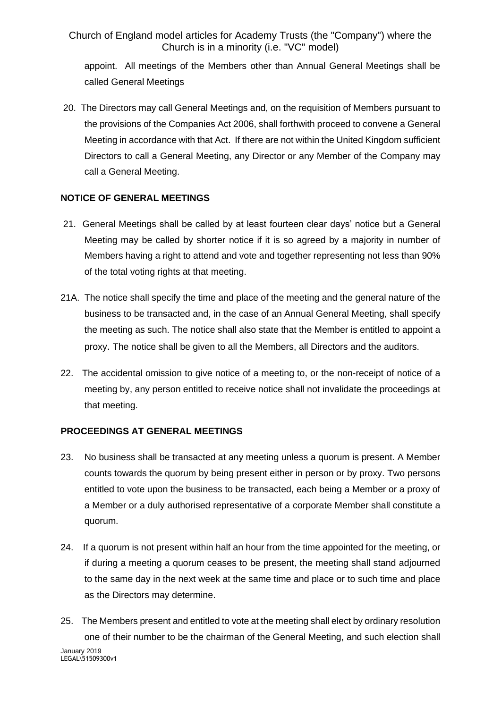appoint. All meetings of the Members other than Annual General Meetings shall be called General Meetings

20. The Directors may call General Meetings and, on the requisition of Members pursuant to the provisions of the Companies Act 2006, shall forthwith proceed to convene a General Meeting in accordance with that Act. If there are not within the United Kingdom sufficient Directors to call a General Meeting, any Director or any Member of the Company may call a General Meeting.

## **NOTICE OF GENERAL MEETINGS**

- 21. General Meetings shall be called by at least fourteen clear days' notice but a General Meeting may be called by shorter notice if it is so agreed by a majority in number of Members having a right to attend and vote and together representing not less than 90% of the total voting rights at that meeting.
- 21A. The notice shall specify the time and place of the meeting and the general nature of the business to be transacted and, in the case of an Annual General Meeting, shall specify the meeting as such. The notice shall also state that the Member is entitled to appoint a proxy. The notice shall be given to all the Members, all Directors and the auditors.
- 22. The accidental omission to give notice of a meeting to, or the non-receipt of notice of a meeting by, any person entitled to receive notice shall not invalidate the proceedings at that meeting.

#### **PROCEEDINGS AT GENERAL MEETINGS**

- 23. No business shall be transacted at any meeting unless a quorum is present. A Member counts towards the quorum by being present either in person or by proxy. Two persons entitled to vote upon the business to be transacted, each being a Member or a proxy of a Member or a duly authorised representative of a corporate Member shall constitute a quorum.
- 24. If a quorum is not present within half an hour from the time appointed for the meeting, or if during a meeting a quorum ceases to be present, the meeting shall stand adjourned to the same day in the next week at the same time and place or to such time and place as the Directors may determine.
- January 2019 LEGAL\51509300v1 25. The Members present and entitled to vote at the meeting shall elect by ordinary resolution one of their number to be the chairman of the General Meeting, and such election shall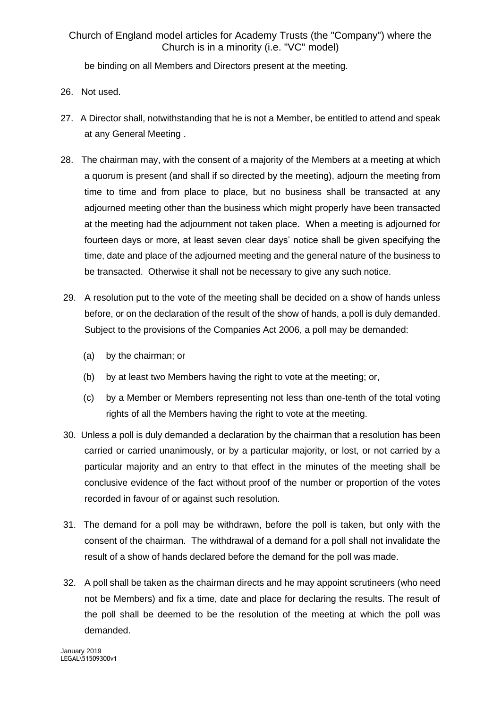be binding on all Members and Directors present at the meeting.

### 26. Not used.

- 27. A Director shall, notwithstanding that he is not a Member, be entitled to attend and speak at any General Meeting .
- 28. The chairman may, with the consent of a majority of the Members at a meeting at which a quorum is present (and shall if so directed by the meeting), adjourn the meeting from time to time and from place to place, but no business shall be transacted at any adjourned meeting other than the business which might properly have been transacted at the meeting had the adjournment not taken place. When a meeting is adjourned for fourteen days or more, at least seven clear days' notice shall be given specifying the time, date and place of the adjourned meeting and the general nature of the business to be transacted. Otherwise it shall not be necessary to give any such notice.
- 29. A resolution put to the vote of the meeting shall be decided on a show of hands unless before, or on the declaration of the result of the show of hands, a poll is duly demanded. Subject to the provisions of the Companies Act 2006, a poll may be demanded:
	- (a) by the chairman; or
	- (b) by at least two Members having the right to vote at the meeting; or,
	- (c) by a Member or Members representing not less than one-tenth of the total voting rights of all the Members having the right to vote at the meeting.
- 30. Unless a poll is duly demanded a declaration by the chairman that a resolution has been carried or carried unanimously, or by a particular majority, or lost, or not carried by a particular majority and an entry to that effect in the minutes of the meeting shall be conclusive evidence of the fact without proof of the number or proportion of the votes recorded in favour of or against such resolution.
- 31. The demand for a poll may be withdrawn, before the poll is taken, but only with the consent of the chairman. The withdrawal of a demand for a poll shall not invalidate the result of a show of hands declared before the demand for the poll was made.
- 32. A poll shall be taken as the chairman directs and he may appoint scrutineers (who need not be Members) and fix a time, date and place for declaring the results. The result of the poll shall be deemed to be the resolution of the meeting at which the poll was demanded.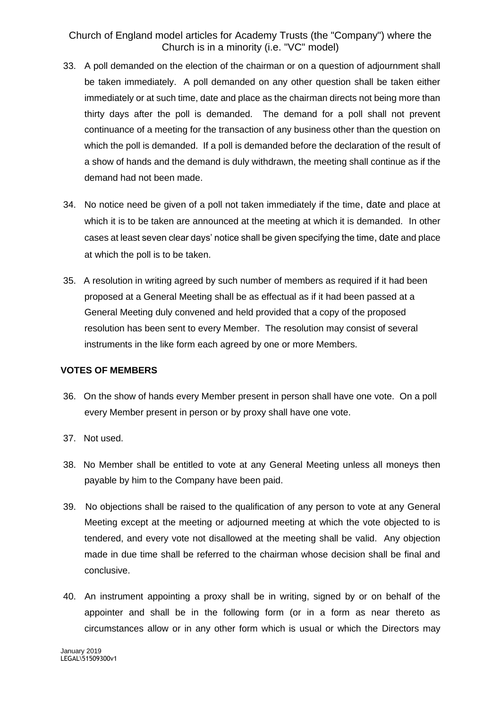- 33. A poll demanded on the election of the chairman or on a question of adjournment shall be taken immediately. A poll demanded on any other question shall be taken either immediately or at such time, date and place as the chairman directs not being more than thirty days after the poll is demanded. The demand for a poll shall not prevent continuance of a meeting for the transaction of any business other than the question on which the poll is demanded. If a poll is demanded before the declaration of the result of a show of hands and the demand is duly withdrawn, the meeting shall continue as if the demand had not been made.
- 34. No notice need be given of a poll not taken immediately if the time, date and place at which it is to be taken are announced at the meeting at which it is demanded. In other cases at least seven clear days' notice shall be given specifying the time, date and place at which the poll is to be taken.
- 35. A resolution in writing agreed by such number of members as required if it had been proposed at a General Meeting shall be as effectual as if it had been passed at a General Meeting duly convened and held provided that a copy of the proposed resolution has been sent to every Member. The resolution may consist of several instruments in the like form each agreed by one or more Members.

#### **VOTES OF MEMBERS**

- 36. On the show of hands every Member present in person shall have one vote. On a poll every Member present in person or by proxy shall have one vote.
- 37. Not used.
- 38. No Member shall be entitled to vote at any General Meeting unless all moneys then payable by him to the Company have been paid.
- 39. No objections shall be raised to the qualification of any person to vote at any General Meeting except at the meeting or adjourned meeting at which the vote objected to is tendered, and every vote not disallowed at the meeting shall be valid. Any objection made in due time shall be referred to the chairman whose decision shall be final and conclusive.
- 40. An instrument appointing a proxy shall be in writing, signed by or on behalf of the appointer and shall be in the following form (or in a form as near thereto as circumstances allow or in any other form which is usual or which the Directors may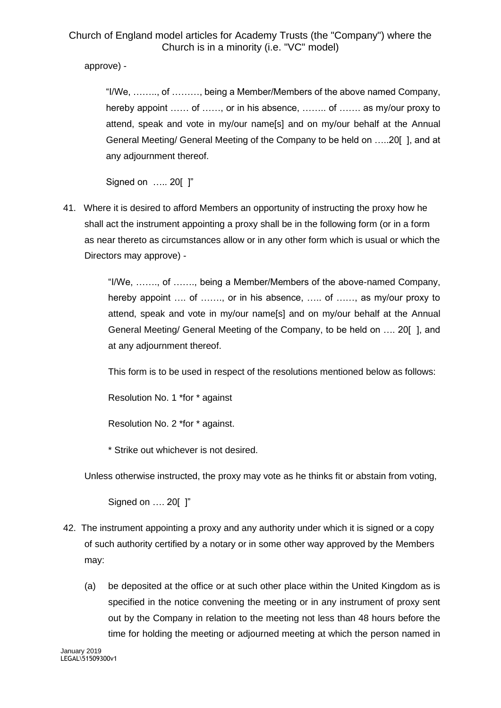approve) -

"I/We, …….., of ………, being a Member/Members of the above named Company, hereby appoint …… of ……, or in his absence, ……. of ……, as my/our proxy to attend, speak and vote in my/our name[s] and on my/our behalf at the Annual General Meeting/ General Meeting of the Company to be held on …..20[ ], and at any adjournment thereof.

Signed on ….. 20[ ]"

41. Where it is desired to afford Members an opportunity of instructing the proxy how he shall act the instrument appointing a proxy shall be in the following form (or in a form as near thereto as circumstances allow or in any other form which is usual or which the Directors may approve) -

> "I/We, ……., of ……., being a Member/Members of the above-named Company, hereby appoint …. of ……., or in his absence, ….. of ……, as my/our proxy to attend, speak and vote in my/our name[s] and on my/our behalf at the Annual General Meeting/ General Meeting of the Company, to be held on …. 20[ ], and at any adjournment thereof.

This form is to be used in respect of the resolutions mentioned below as follows:

Resolution No. 1 \*for \* against

Resolution No. 2 \*for \* against.

\* Strike out whichever is not desired.

Unless otherwise instructed, the proxy may vote as he thinks fit or abstain from voting,

Signed on …. 20[ ]"

- 42. The instrument appointing a proxy and any authority under which it is signed or a copy of such authority certified by a notary or in some other way approved by the Members may:
	- (a) be deposited at the office or at such other place within the United Kingdom as is specified in the notice convening the meeting or in any instrument of proxy sent out by the Company in relation to the meeting not less than 48 hours before the time for holding the meeting or adjourned meeting at which the person named in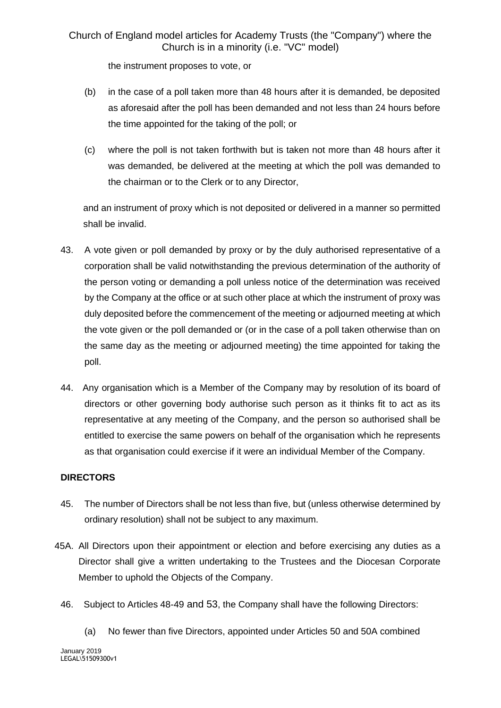the instrument proposes to vote, or

- (b) in the case of a poll taken more than 48 hours after it is demanded, be deposited as aforesaid after the poll has been demanded and not less than 24 hours before the time appointed for the taking of the poll; or
- (c) where the poll is not taken forthwith but is taken not more than 48 hours after it was demanded, be delivered at the meeting at which the poll was demanded to the chairman or to the Clerk or to any Director,

and an instrument of proxy which is not deposited or delivered in a manner so permitted shall be invalid.

- 43. A vote given or poll demanded by proxy or by the duly authorised representative of a corporation shall be valid notwithstanding the previous determination of the authority of the person voting or demanding a poll unless notice of the determination was received by the Company at the office or at such other place at which the instrument of proxy was duly deposited before the commencement of the meeting or adjourned meeting at which the vote given or the poll demanded or (or in the case of a poll taken otherwise than on the same day as the meeting or adjourned meeting) the time appointed for taking the poll.
- 44. Any organisation which is a Member of the Company may by resolution of its board of directors or other governing body authorise such person as it thinks fit to act as its representative at any meeting of the Company, and the person so authorised shall be entitled to exercise the same powers on behalf of the organisation which he represents as that organisation could exercise if it were an individual Member of the Company.

## **DIRECTORS**

- 45. The number of Directors shall be not less than five, but (unless otherwise determined by ordinary resolution) shall not be subject to any maximum.
- 45A. All Directors upon their appointment or election and before exercising any duties as a Director shall give a written undertaking to the Trustees and the Diocesan Corporate Member to uphold the Objects of the Company.
	- 46. Subject to Articles 48-49 and 53, the Company shall have the following Directors:
		- (a) No fewer than five Directors, appointed under Articles 50 and 50A combined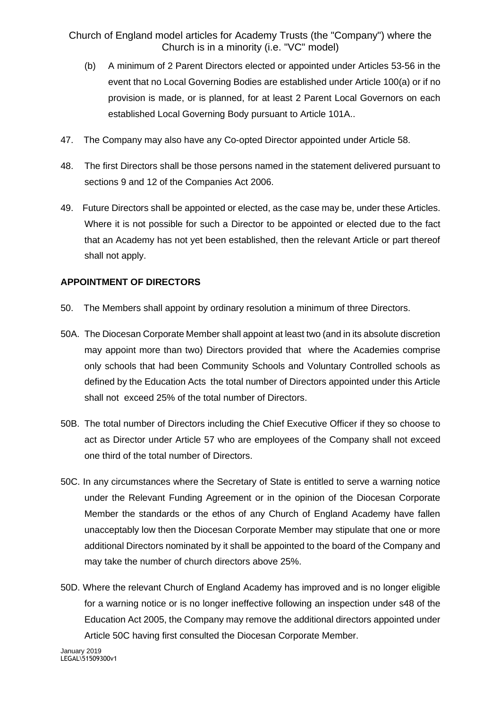- (b) A minimum of 2 Parent Directors elected or appointed under Articles 53-56 in the event that no Local Governing Bodies are established under Article 100(a) or if no provision is made, or is planned, for at least 2 Parent Local Governors on each established Local Governing Body pursuant to Article 101A..
- 47. The Company may also have any Co-opted Director appointed under Article 58.
- 48. The first Directors shall be those persons named in the statement delivered pursuant to sections 9 and 12 of the Companies Act 2006.
- 49. Future Directors shall be appointed or elected, as the case may be, under these Articles. Where it is not possible for such a Director to be appointed or elected due to the fact that an Academy has not yet been established, then the relevant Article or part thereof shall not apply.

### **APPOINTMENT OF DIRECTORS**

- 50. The Members shall appoint by ordinary resolution a minimum of three Directors.
- 50A. The Diocesan Corporate Member shall appoint at least two (and in its absolute discretion may appoint more than two) Directors provided that where the Academies comprise only schools that had been Community Schools and Voluntary Controlled schools as defined by the Education Acts the total number of Directors appointed under this Article shall not exceed 25% of the total number of Directors.
- 50B. The total number of Directors including the Chief Executive Officer if they so choose to act as Director under Article 57 who are employees of the Company shall not exceed one third of the total number of Directors.
- 50C. In any circumstances where the Secretary of State is entitled to serve a warning notice under the Relevant Funding Agreement or in the opinion of the Diocesan Corporate Member the standards or the ethos of any Church of England Academy have fallen unacceptably low then the Diocesan Corporate Member may stipulate that one or more additional Directors nominated by it shall be appointed to the board of the Company and may take the number of church directors above 25%.
- 50D. Where the relevant Church of England Academy has improved and is no longer eligible for a warning notice or is no longer ineffective following an inspection under s48 of the Education Act 2005, the Company may remove the additional directors appointed under Article 50C having first consulted the Diocesan Corporate Member.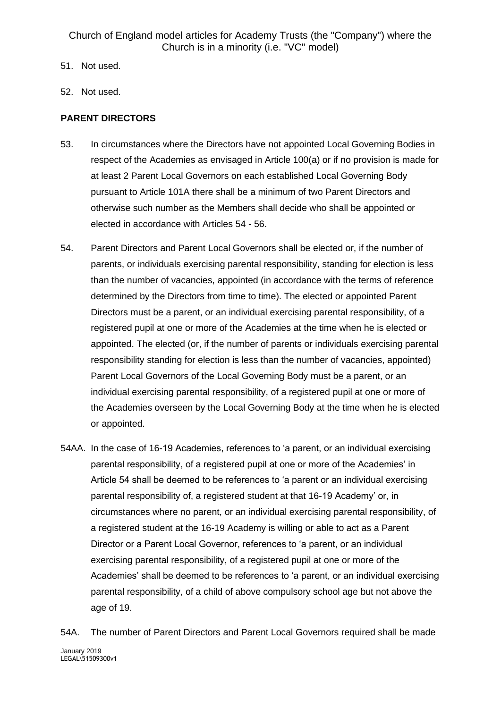- 51. Not used.
- 52. Not used.

### **PARENT DIRECTORS**

- 53. In circumstances where the Directors have not appointed Local Governing Bodies in respect of the Academies as envisaged in Article 100(a) or if no provision is made for at least 2 Parent Local Governors on each established Local Governing Body pursuant to Article 101A there shall be a minimum of two Parent Directors and otherwise such number as the Members shall decide who shall be appointed or elected in accordance with Articles 54 - 56.
- 54. Parent Directors and Parent Local Governors shall be elected or, if the number of parents, or individuals exercising parental responsibility, standing for election is less than the number of vacancies, appointed (in accordance with the terms of reference determined by the Directors from time to time). The elected or appointed Parent Directors must be a parent, or an individual exercising parental responsibility, of a registered pupil at one or more of the Academies at the time when he is elected or appointed. The elected (or, if the number of parents or individuals exercising parental responsibility standing for election is less than the number of vacancies, appointed) Parent Local Governors of the Local Governing Body must be a parent, or an individual exercising parental responsibility, of a registered pupil at one or more of the Academies overseen by the Local Governing Body at the time when he is elected or appointed.
- 54AA. In the case of 16-19 Academies, references to 'a parent, or an individual exercising parental responsibility, of a registered pupil at one or more of the Academies' in Article 54 shall be deemed to be references to 'a parent or an individual exercising parental responsibility of, a registered student at that 16-19 Academy' or, in circumstances where no parent, or an individual exercising parental responsibility, of a registered student at the 16-19 Academy is willing or able to act as a Parent Director or a Parent Local Governor, references to 'a parent, or an individual exercising parental responsibility, of a registered pupil at one or more of the Academies' shall be deemed to be references to 'a parent, or an individual exercising parental responsibility, of a child of above compulsory school age but not above the age of 19.
- January 2019 LEGAL\51509300v1 54A. The number of Parent Directors and Parent Local Governors required shall be made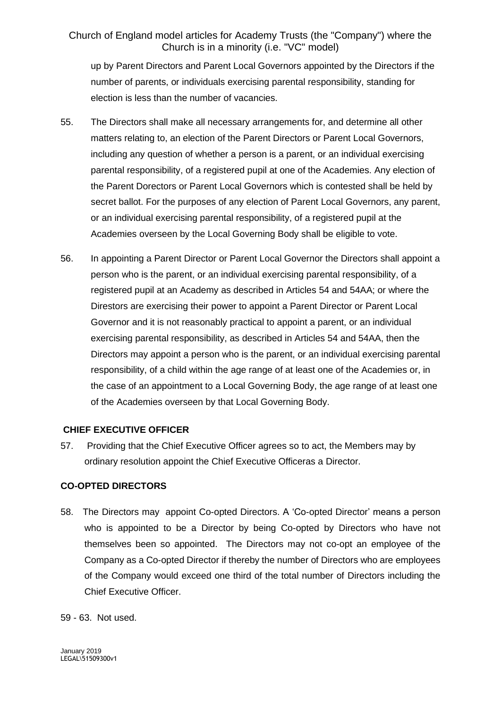up by Parent Directors and Parent Local Governors appointed by the Directors if the number of parents, or individuals exercising parental responsibility, standing for election is less than the number of vacancies.

- 55. The Directors shall make all necessary arrangements for, and determine all other matters relating to, an election of the Parent Directors or Parent Local Governors, including any question of whether a person is a parent, or an individual exercising parental responsibility, of a registered pupil at one of the Academies. Any election of the Parent Dorectors or Parent Local Governors which is contested shall be held by secret ballot. For the purposes of any election of Parent Local Governors, any parent, or an individual exercising parental responsibility, of a registered pupil at the Academies overseen by the Local Governing Body shall be eligible to vote.
- 56. In appointing a Parent Director or Parent Local Governor the Directors shall appoint a person who is the parent, or an individual exercising parental responsibility, of a registered pupil at an Academy as described in Articles 54 and 54AA; or where the Direstors are exercising their power to appoint a Parent Director or Parent Local Governor and it is not reasonably practical to appoint a parent, or an individual exercising parental responsibility, as described in Articles 54 and 54AA, then the Directors may appoint a person who is the parent, or an individual exercising parental responsibility, of a child within the age range of at least one of the Academies or, in the case of an appointment to a Local Governing Body, the age range of at least one of the Academies overseen by that Local Governing Body.

## **CHIEF EXECUTIVE OFFICER**

57. Providing that the Chief Executive Officer agrees so to act, the Members may by ordinary resolution appoint the Chief Executive Officeras a Director.

## **CO-OPTED DIRECTORS**

- 58. The Directors may appoint Co-opted Directors. A 'Co-opted Director' means a person who is appointed to be a Director by being Co-opted by Directors who have not themselves been so appointed. The Directors may not co-opt an employee of the Company as a Co-opted Director if thereby the number of Directors who are employees of the Company would exceed one third of the total number of Directors including the Chief Executive Officer.
- 59 63. Not used.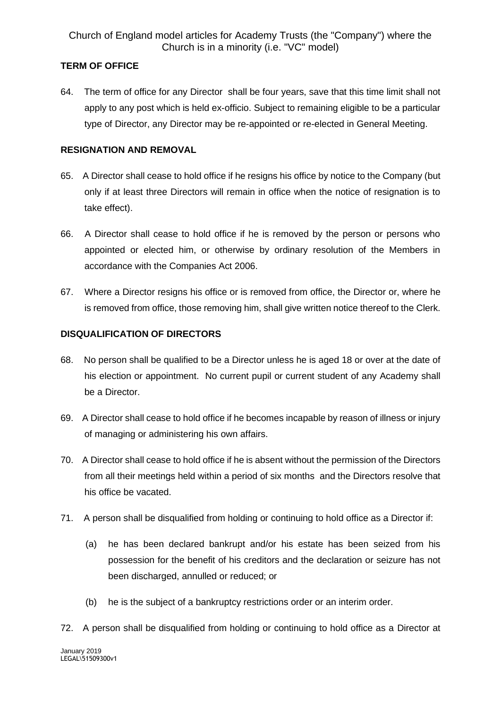# **TERM OF OFFICE**

64. The term of office for any Director shall be four years, save that this time limit shall not apply to any post which is held ex-officio. Subject to remaining eligible to be a particular type of Director, any Director may be re-appointed or re-elected in General Meeting.

# **RESIGNATION AND REMOVAL**

- 65. A Director shall cease to hold office if he resigns his office by notice to the Company (but only if at least three Directors will remain in office when the notice of resignation is to take effect).
- 66. A Director shall cease to hold office if he is removed by the person or persons who appointed or elected him, or otherwise by ordinary resolution of the Members in accordance with the Companies Act 2006.
- 67. Where a Director resigns his office or is removed from office, the Director or, where he is removed from office, those removing him, shall give written notice thereof to the Clerk.

# **DISQUALIFICATION OF DIRECTORS**

- 68. No person shall be qualified to be a Director unless he is aged 18 or over at the date of his election or appointment. No current pupil or current student of any Academy shall be a Director.
- 69. A Director shall cease to hold office if he becomes incapable by reason of illness or injury of managing or administering his own affairs.
- 70. A Director shall cease to hold office if he is absent without the permission of the Directors from all their meetings held within a period of six months and the Directors resolve that his office be vacated.
- 71. A person shall be disqualified from holding or continuing to hold office as a Director if:
	- (a) he has been declared bankrupt and/or his estate has been seized from his possession for the benefit of his creditors and the declaration or seizure has not been discharged, annulled or reduced; or
	- (b) he is the subject of a bankruptcy restrictions order or an interim order.
- 72. A person shall be disqualified from holding or continuing to hold office as a Director at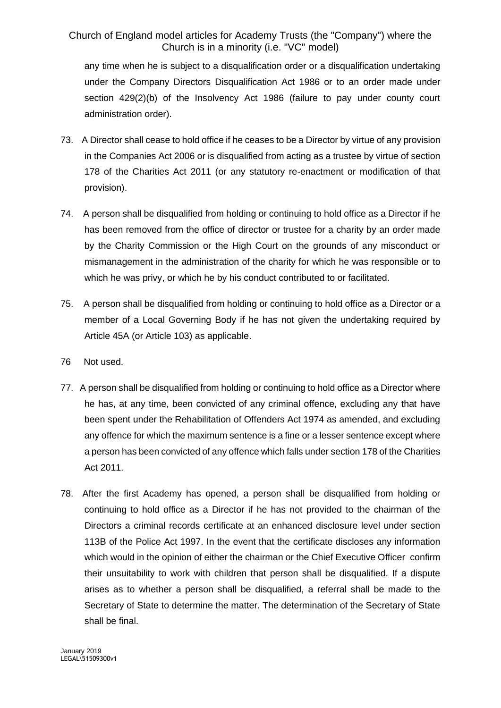any time when he is subject to a disqualification order or a disqualification undertaking under the Company Directors Disqualification Act 1986 or to an order made under section 429(2)(b) of the Insolvency Act 1986 (failure to pay under county court administration order).

- 73. A Director shall cease to hold office if he ceases to be a Director by virtue of any provision in the Companies Act 2006 or is disqualified from acting as a trustee by virtue of section 178 of the Charities Act 2011 (or any statutory re-enactment or modification of that provision).
- 74. A person shall be disqualified from holding or continuing to hold office as a Director if he has been removed from the office of director or trustee for a charity by an order made by the Charity Commission or the High Court on the grounds of any misconduct or mismanagement in the administration of the charity for which he was responsible or to which he was privy, or which he by his conduct contributed to or facilitated.
- 75. A person shall be disqualified from holding or continuing to hold office as a Director or a member of a Local Governing Body if he has not given the undertaking required by Article 45A (or Article 103) as applicable.
- 76 Not used.
- 77. A person shall be disqualified from holding or continuing to hold office as a Director where he has, at any time, been convicted of any criminal offence, excluding any that have been spent under the Rehabilitation of Offenders Act 1974 as amended, and excluding any offence for which the maximum sentence is a fine or a lesser sentence except where a person has been convicted of any offence which falls under section 178 of the Charities Act 2011.
- 78. After the first Academy has opened, a person shall be disqualified from holding or continuing to hold office as a Director if he has not provided to the chairman of the Directors a criminal records certificate at an enhanced disclosure level under section 113B of the Police Act 1997. In the event that the certificate discloses any information which would in the opinion of either the chairman or the Chief Executive Officer confirm their unsuitability to work with children that person shall be disqualified. If a dispute arises as to whether a person shall be disqualified, a referral shall be made to the Secretary of State to determine the matter. The determination of the Secretary of State shall be final.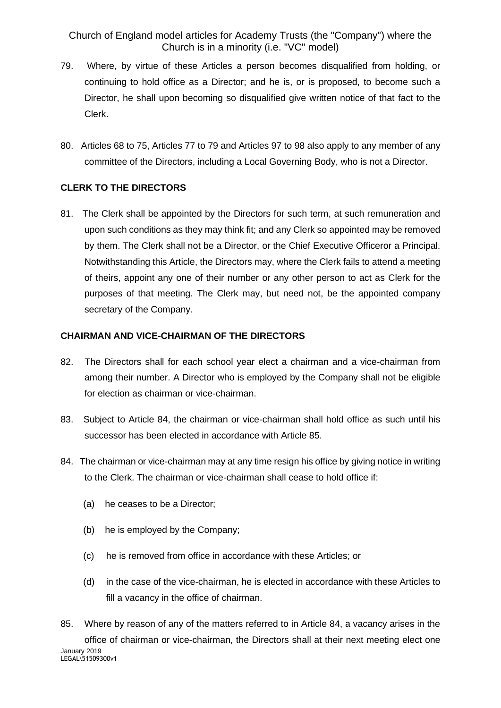- 79. Where, by virtue of these Articles a person becomes disqualified from holding, or continuing to hold office as a Director; and he is, or is proposed, to become such a Director, he shall upon becoming so disqualified give written notice of that fact to the Clerk.
- 80. Articles 68 to 75, Articles 77 to 79 and Articles 97 to 98 also apply to any member of any committee of the Directors, including a Local Governing Body, who is not a Director.

### **CLERK TO THE DIRECTORS**

81. The Clerk shall be appointed by the Directors for such term, at such remuneration and upon such conditions as they may think fit; and any Clerk so appointed may be removed by them. The Clerk shall not be a Director, or the Chief Executive Officeror a Principal. Notwithstanding this Article, the Directors may, where the Clerk fails to attend a meeting of theirs, appoint any one of their number or any other person to act as Clerk for the purposes of that meeting. The Clerk may, but need not, be the appointed company secretary of the Company.

# **CHAIRMAN AND VICE-CHAIRMAN OF THE DIRECTORS**

- 82. The Directors shall for each school year elect a chairman and a vice-chairman from among their number. A Director who is employed by the Company shall not be eligible for election as chairman or vice-chairman.
- 83. Subject to Article 84, the chairman or vice-chairman shall hold office as such until his successor has been elected in accordance with Article 85.
- 84. The chairman or vice-chairman may at any time resign his office by giving notice in writing to the Clerk. The chairman or vice-chairman shall cease to hold office if:
	- (a) he ceases to be a Director;
	- (b) he is employed by the Company;
	- (c) he is removed from office in accordance with these Articles; or
	- (d) in the case of the vice-chairman, he is elected in accordance with these Articles to fill a vacancy in the office of chairman.
- January 2019 LEGAL\51509300v1 85. Where by reason of any of the matters referred to in Article 84, a vacancy arises in the office of chairman or vice-chairman, the Directors shall at their next meeting elect one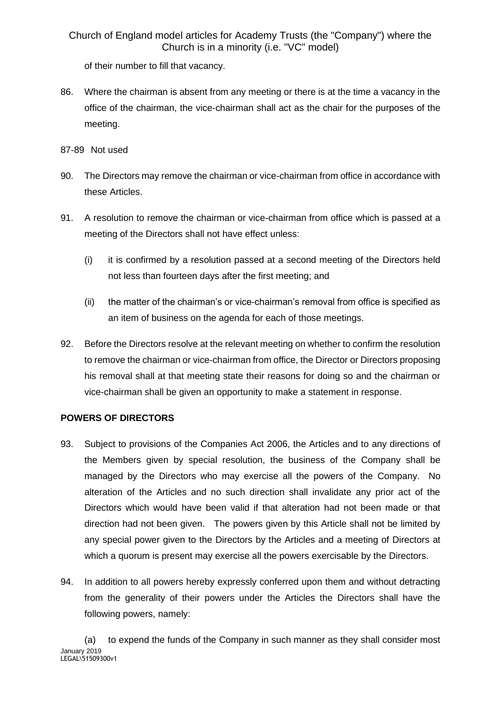of their number to fill that vacancy.

- 86. Where the chairman is absent from any meeting or there is at the time a vacancy in the office of the chairman, the vice-chairman shall act as the chair for the purposes of the meeting.
- 87-89 Not used
- 90. The Directors may remove the chairman or vice-chairman from office in accordance with these Articles.
- 91. A resolution to remove the chairman or vice-chairman from office which is passed at a meeting of the Directors shall not have effect unless:
	- (i) it is confirmed by a resolution passed at a second meeting of the Directors held not less than fourteen days after the first meeting; and
	- (ii) the matter of the chairman's or vice-chairman's removal from office is specified as an item of business on the agenda for each of those meetings.
- 92. Before the Directors resolve at the relevant meeting on whether to confirm the resolution to remove the chairman or vice-chairman from office, the Director or Directors proposing his removal shall at that meeting state their reasons for doing so and the chairman or vice-chairman shall be given an opportunity to make a statement in response.

## **POWERS OF DIRECTORS**

- 93. Subject to provisions of the Companies Act 2006, the Articles and to any directions of the Members given by special resolution, the business of the Company shall be managed by the Directors who may exercise all the powers of the Company. No alteration of the Articles and no such direction shall invalidate any prior act of the Directors which would have been valid if that alteration had not been made or that direction had not been given. The powers given by this Article shall not be limited by any special power given to the Directors by the Articles and a meeting of Directors at which a quorum is present may exercise all the powers exercisable by the Directors.
- 94. In addition to all powers hereby expressly conferred upon them and without detracting from the generality of their powers under the Articles the Directors shall have the following powers, namely: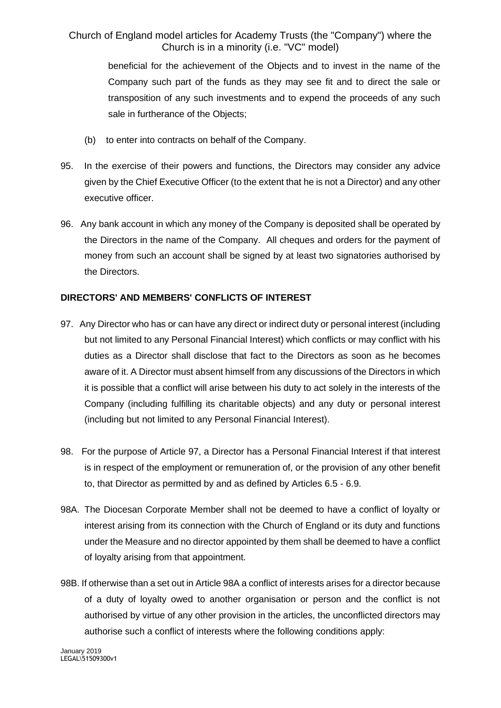> beneficial for the achievement of the Objects and to invest in the name of the Company such part of the funds as they may see fit and to direct the sale or transposition of any such investments and to expend the proceeds of any such sale in furtherance of the Objects;

- (b) to enter into contracts on behalf of the Company.
- 95. In the exercise of their powers and functions, the Directors may consider any advice given by the Chief Executive Officer (to the extent that he is not a Director) and any other executive officer.
- 96. Any bank account in which any money of the Company is deposited shall be operated by the Directors in the name of the Company. All cheques and orders for the payment of money from such an account shall be signed by at least two signatories authorised by the Directors.

## **DIRECTORS' AND MEMBERS' CONFLICTS OF INTEREST**

- 97. Any Director who has or can have any direct or indirect duty or personal interest (including but not limited to any Personal Financial Interest) which conflicts or may conflict with his duties as a Director shall disclose that fact to the Directors as soon as he becomes aware of it. A Director must absent himself from any discussions of the Directors in which it is possible that a conflict will arise between his duty to act solely in the interests of the Company (including fulfilling its charitable objects) and any duty or personal interest (including but not limited to any Personal Financial Interest).
- 98. For the purpose of Article 97, a Director has a Personal Financial Interest if that interest is in respect of the employment or remuneration of, or the provision of any other benefit to, that Director as permitted by and as defined by Articles 6.5 - 6.9.
- 98A. The Diocesan Corporate Member shall not be deemed to have a conflict of loyalty or interest arising from its connection with the Church of England or its duty and functions under the Measure and no director appointed by them shall be deemed to have a conflict of loyalty arising from that appointment.
- 98B. If otherwise than a set out in Article 98A a conflict of interests arises for a director because of a duty of loyalty owed to another organisation or person and the conflict is not authorised by virtue of any other provision in the articles, the unconflicted directors may authorise such a conflict of interests where the following conditions apply: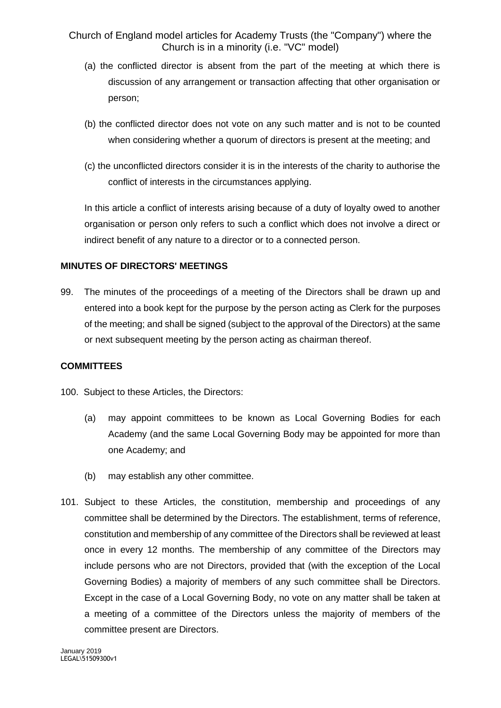- (a) the conflicted director is absent from the part of the meeting at which there is discussion of any arrangement or transaction affecting that other organisation or person;
- (b) the conflicted director does not vote on any such matter and is not to be counted when considering whether a quorum of directors is present at the meeting; and
- (c) the unconflicted directors consider it is in the interests of the charity to authorise the conflict of interests in the circumstances applying.

In this article a conflict of interests arising because of a duty of loyalty owed to another organisation or person only refers to such a conflict which does not involve a direct or indirect benefit of any nature to a director or to a connected person.

### **MINUTES OF DIRECTORS' MEETINGS**

99. The minutes of the proceedings of a meeting of the Directors shall be drawn up and entered into a book kept for the purpose by the person acting as Clerk for the purposes of the meeting; and shall be signed (subject to the approval of the Directors) at the same or next subsequent meeting by the person acting as chairman thereof.

#### **COMMITTEES**

100. Subject to these Articles, the Directors:

- (a) may appoint committees to be known as Local Governing Bodies for each Academy (and the same Local Governing Body may be appointed for more than one Academy; and
- (b) may establish any other committee.
- 101. Subject to these Articles, the constitution, membership and proceedings of any committee shall be determined by the Directors. The establishment, terms of reference, constitution and membership of any committee of the Directors shall be reviewed at least once in every 12 months. The membership of any committee of the Directors may include persons who are not Directors, provided that (with the exception of the Local Governing Bodies) a majority of members of any such committee shall be Directors. Except in the case of a Local Governing Body, no vote on any matter shall be taken at a meeting of a committee of the Directors unless the majority of members of the committee present are Directors.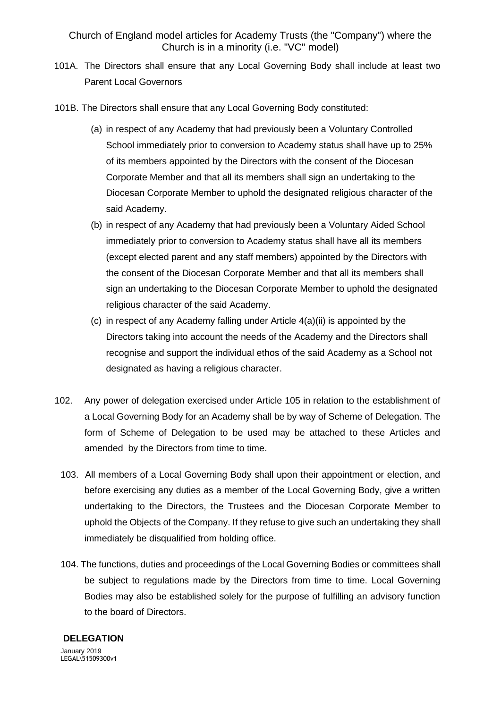- 101A. The Directors shall ensure that any Local Governing Body shall include at least two Parent Local Governors
- 101B. The Directors shall ensure that any Local Governing Body constituted:
	- (a) in respect of any Academy that had previously been a Voluntary Controlled School immediately prior to conversion to Academy status shall have up to 25% of its members appointed by the Directors with the consent of the Diocesan Corporate Member and that all its members shall sign an undertaking to the Diocesan Corporate Member to uphold the designated religious character of the said Academy.
	- (b) in respect of any Academy that had previously been a Voluntary Aided School immediately prior to conversion to Academy status shall have all its members (except elected parent and any staff members) appointed by the Directors with the consent of the Diocesan Corporate Member and that all its members shall sign an undertaking to the Diocesan Corporate Member to uphold the designated religious character of the said Academy.
	- (c) in respect of any Academy falling under Article 4(a)(ii) is appointed by the Directors taking into account the needs of the Academy and the Directors shall recognise and support the individual ethos of the said Academy as a School not designated as having a religious character.
- 102. Any power of delegation exercised under Article 105 in relation to the establishment of a Local Governing Body for an Academy shall be by way of Scheme of Delegation. The form of Scheme of Delegation to be used may be attached to these Articles and amended by the Directors from time to time.
	- 103. All members of a Local Governing Body shall upon their appointment or election, and before exercising any duties as a member of the Local Governing Body, give a written undertaking to the Directors, the Trustees and the Diocesan Corporate Member to uphold the Objects of the Company. If they refuse to give such an undertaking they shall immediately be disqualified from holding office.
	- 104. The functions, duties and proceedings of the Local Governing Bodies or committees shall be subject to regulations made by the Directors from time to time. Local Governing Bodies may also be established solely for the purpose of fulfilling an advisory function to the board of Directors.

#### January 2019 **DELEGATION**

LEGAL\51509300v1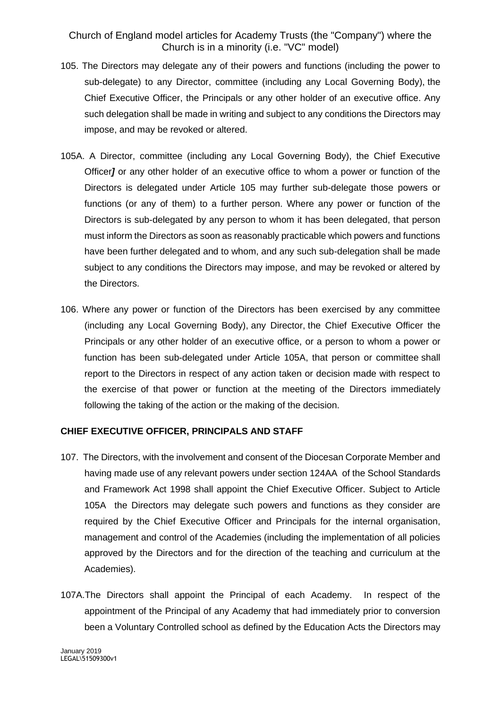- 105. The Directors may delegate any of their powers and functions (including the power to sub-delegate) to any Director, committee (including any Local Governing Body), the Chief Executive Officer, the Principals or any other holder of an executive office. Any such delegation shall be made in writing and subject to any conditions the Directors may impose, and may be revoked or altered.
- 105A. A Director, committee (including any Local Governing Body), the Chief Executive Officer*]* or any other holder of an executive office to whom a power or function of the Directors is delegated under Article 105 may further sub-delegate those powers or functions (or any of them) to a further person. Where any power or function of the Directors is sub-delegated by any person to whom it has been delegated, that person must inform the Directors as soon as reasonably practicable which powers and functions have been further delegated and to whom, and any such sub-delegation shall be made subject to any conditions the Directors may impose, and may be revoked or altered by the Directors.
- 106. Where any power or function of the Directors has been exercised by any committee (including any Local Governing Body), any Director, the Chief Executive Officer the Principals or any other holder of an executive office, or a person to whom a power or function has been sub-delegated under Article 105A, that person or committee shall report to the Directors in respect of any action taken or decision made with respect to the exercise of that power or function at the meeting of the Directors immediately following the taking of the action or the making of the decision.

#### **CHIEF EXECUTIVE OFFICER, PRINCIPALS AND STAFF**

- 107. The Directors, with the involvement and consent of the Diocesan Corporate Member and having made use of any relevant powers under section 124AA of the School Standards and Framework Act 1998 shall appoint the Chief Executive Officer. Subject to Article 105A the Directors may delegate such powers and functions as they consider are required by the Chief Executive Officer and Principals for the internal organisation, management and control of the Academies (including the implementation of all policies approved by the Directors and for the direction of the teaching and curriculum at the Academies).
- 107A.The Directors shall appoint the Principal of each Academy. In respect of the appointment of the Principal of any Academy that had immediately prior to conversion been a Voluntary Controlled school as defined by the Education Acts the Directors may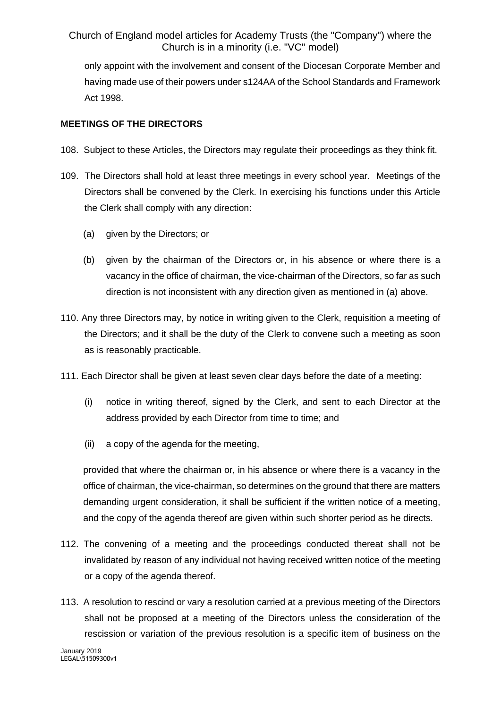only appoint with the involvement and consent of the Diocesan Corporate Member and having made use of their powers under s124AA of the School Standards and Framework Act 1998.

# **MEETINGS OF THE DIRECTORS**

- 108. Subject to these Articles, the Directors may regulate their proceedings as they think fit.
- 109. The Directors shall hold at least three meetings in every school year. Meetings of the Directors shall be convened by the Clerk. In exercising his functions under this Article the Clerk shall comply with any direction:
	- (a) given by the Directors; or
	- (b) given by the chairman of the Directors or, in his absence or where there is a vacancy in the office of chairman, the vice-chairman of the Directors, so far as such direction is not inconsistent with any direction given as mentioned in (a) above.
- 110. Any three Directors may, by notice in writing given to the Clerk, requisition a meeting of the Directors; and it shall be the duty of the Clerk to convene such a meeting as soon as is reasonably practicable.
- 111. Each Director shall be given at least seven clear days before the date of a meeting:
	- (i) notice in writing thereof, signed by the Clerk, and sent to each Director at the address provided by each Director from time to time; and
	- (ii) a copy of the agenda for the meeting,

provided that where the chairman or, in his absence or where there is a vacancy in the office of chairman, the vice-chairman, so determines on the ground that there are matters demanding urgent consideration, it shall be sufficient if the written notice of a meeting, and the copy of the agenda thereof are given within such shorter period as he directs.

- 112. The convening of a meeting and the proceedings conducted thereat shall not be invalidated by reason of any individual not having received written notice of the meeting or a copy of the agenda thereof.
- 113. A resolution to rescind or vary a resolution carried at a previous meeting of the Directors shall not be proposed at a meeting of the Directors unless the consideration of the rescission or variation of the previous resolution is a specific item of business on the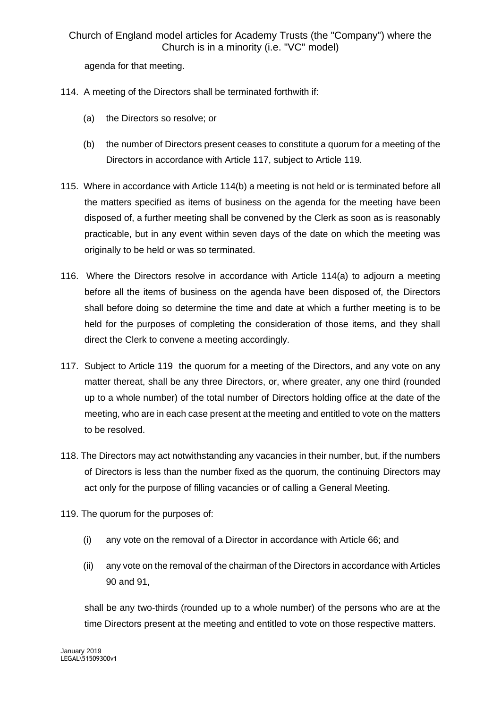agenda for that meeting.

- 114. A meeting of the Directors shall be terminated forthwith if:
	- (a) the Directors so resolve; or
	- (b) the number of Directors present ceases to constitute a quorum for a meeting of the Directors in accordance with Article 117, subject to Article 119.
- 115. Where in accordance with Article 114(b) a meeting is not held or is terminated before all the matters specified as items of business on the agenda for the meeting have been disposed of, a further meeting shall be convened by the Clerk as soon as is reasonably practicable, but in any event within seven days of the date on which the meeting was originally to be held or was so terminated.
- 116. Where the Directors resolve in accordance with Article 114(a) to adjourn a meeting before all the items of business on the agenda have been disposed of, the Directors shall before doing so determine the time and date at which a further meeting is to be held for the purposes of completing the consideration of those items, and they shall direct the Clerk to convene a meeting accordingly.
- 117. Subject to Article 119 the quorum for a meeting of the Directors, and any vote on any matter thereat, shall be any three Directors, or, where greater, any one third (rounded up to a whole number) of the total number of Directors holding office at the date of the meeting, who are in each case present at the meeting and entitled to vote on the matters to be resolved.
- 118. The Directors may act notwithstanding any vacancies in their number, but, if the numbers of Directors is less than the number fixed as the quorum, the continuing Directors may act only for the purpose of filling vacancies or of calling a General Meeting.
- 119. The quorum for the purposes of:
	- (i) any vote on the removal of a Director in accordance with Article 66; and
	- (ii) any vote on the removal of the chairman of the Directors in accordance with Articles 90 and 91,

shall be any two-thirds (rounded up to a whole number) of the persons who are at the time Directors present at the meeting and entitled to vote on those respective matters.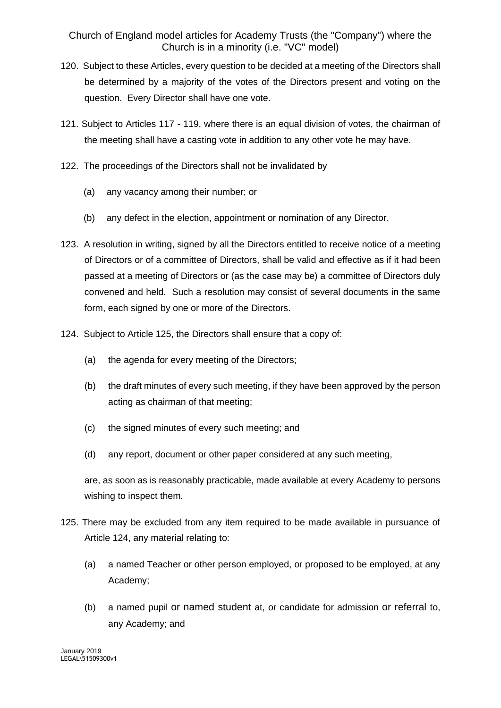- 120. Subject to these Articles, every question to be decided at a meeting of the Directors shall be determined by a majority of the votes of the Directors present and voting on the question. Every Director shall have one vote.
- 121. Subject to Articles 117 119, where there is an equal division of votes, the chairman of the meeting shall have a casting vote in addition to any other vote he may have.
- 122. The proceedings of the Directors shall not be invalidated by
	- (a) any vacancy among their number; or
	- (b) any defect in the election, appointment or nomination of any Director.
- 123. A resolution in writing, signed by all the Directors entitled to receive notice of a meeting of Directors or of a committee of Directors, shall be valid and effective as if it had been passed at a meeting of Directors or (as the case may be) a committee of Directors duly convened and held. Such a resolution may consist of several documents in the same form, each signed by one or more of the Directors.
- 124. Subject to Article 125, the Directors shall ensure that a copy of:
	- (a) the agenda for every meeting of the Directors;
	- (b) the draft minutes of every such meeting, if they have been approved by the person acting as chairman of that meeting;
	- (c) the signed minutes of every such meeting; and
	- (d) any report, document or other paper considered at any such meeting,

are, as soon as is reasonably practicable, made available at every Academy to persons wishing to inspect them.

- 125. There may be excluded from any item required to be made available in pursuance of Article 124, any material relating to:
	- (a) a named Teacher or other person employed, or proposed to be employed, at any Academy;
	- (b) a named pupil or named student at, or candidate for admission or referral to, any Academy; and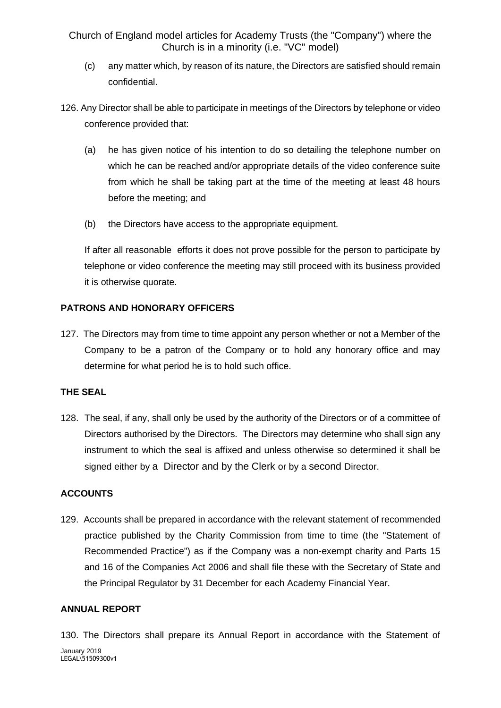- (c) any matter which, by reason of its nature, the Directors are satisfied should remain confidential.
- 126. Any Director shall be able to participate in meetings of the Directors by telephone or video conference provided that:
	- (a) he has given notice of his intention to do so detailing the telephone number on which he can be reached and/or appropriate details of the video conference suite from which he shall be taking part at the time of the meeting at least 48 hours before the meeting; and
	- (b) the Directors have access to the appropriate equipment.

If after all reasonable efforts it does not prove possible for the person to participate by telephone or video conference the meeting may still proceed with its business provided it is otherwise quorate.

### **PATRONS AND HONORARY OFFICERS**

127. The Directors may from time to time appoint any person whether or not a Member of the Company to be a patron of the Company or to hold any honorary office and may determine for what period he is to hold such office.

#### **THE SEAL**

128. The seal, if any, shall only be used by the authority of the Directors or of a committee of Directors authorised by the Directors. The Directors may determine who shall sign any instrument to which the seal is affixed and unless otherwise so determined it shall be signed either by a Director and by the Clerk or by a second Director.

#### **ACCOUNTS**

129. Accounts shall be prepared in accordance with the relevant statement of recommended practice published by the Charity Commission from time to time (the "Statement of Recommended Practice") as if the Company was a non-exempt charity and Parts 15 and 16 of the Companies Act 2006 and shall file these with the Secretary of State and the Principal Regulator by 31 December for each Academy Financial Year.

#### **ANNUAL REPORT**

January 2019 LEGAL\51509300v1 130. The Directors shall prepare its Annual Report in accordance with the Statement of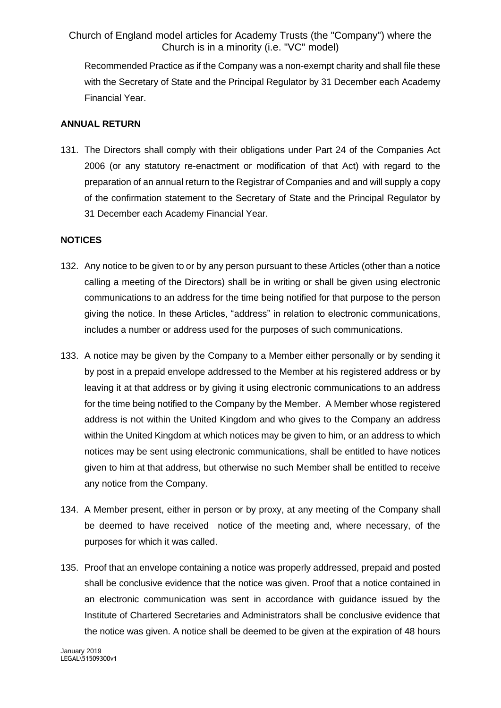Recommended Practice as if the Company was a non-exempt charity and shall file these with the Secretary of State and the Principal Regulator by 31 December each Academy Financial Year.

### **ANNUAL RETURN**

131. The Directors shall comply with their obligations under Part 24 of the Companies Act 2006 (or any statutory re-enactment or modification of that Act) with regard to the preparation of an annual return to the Registrar of Companies and and will supply a copy of the confirmation statement to the Secretary of State and the Principal Regulator by 31 December each Academy Financial Year.

## **NOTICES**

- 132. Any notice to be given to or by any person pursuant to these Articles (other than a notice calling a meeting of the Directors) shall be in writing or shall be given using electronic communications to an address for the time being notified for that purpose to the person giving the notice. In these Articles, "address" in relation to electronic communications, includes a number or address used for the purposes of such communications.
- 133. A notice may be given by the Company to a Member either personally or by sending it by post in a prepaid envelope addressed to the Member at his registered address or by leaving it at that address or by giving it using electronic communications to an address for the time being notified to the Company by the Member. A Member whose registered address is not within the United Kingdom and who gives to the Company an address within the United Kingdom at which notices may be given to him, or an address to which notices may be sent using electronic communications, shall be entitled to have notices given to him at that address, but otherwise no such Member shall be entitled to receive any notice from the Company.
- 134. A Member present, either in person or by proxy, at any meeting of the Company shall be deemed to have received notice of the meeting and, where necessary, of the purposes for which it was called.
- 135. Proof that an envelope containing a notice was properly addressed, prepaid and posted shall be conclusive evidence that the notice was given. Proof that a notice contained in an electronic communication was sent in accordance with guidance issued by the Institute of Chartered Secretaries and Administrators shall be conclusive evidence that the notice was given. A notice shall be deemed to be given at the expiration of 48 hours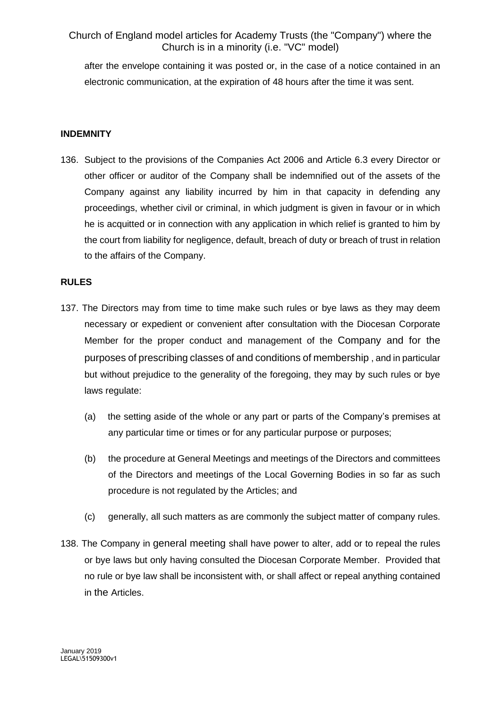after the envelope containing it was posted or, in the case of a notice contained in an electronic communication, at the expiration of 48 hours after the time it was sent.

#### **INDEMNITY**

136. Subject to the provisions of the Companies Act 2006 and Article 6.3 every Director or other officer or auditor of the Company shall be indemnified out of the assets of the Company against any liability incurred by him in that capacity in defending any proceedings, whether civil or criminal, in which judgment is given in favour or in which he is acquitted or in connection with any application in which relief is granted to him by the court from liability for negligence, default, breach of duty or breach of trust in relation to the affairs of the Company.

### **RULES**

- 137. The Directors may from time to time make such rules or bye laws as they may deem necessary or expedient or convenient after consultation with the Diocesan Corporate Member for the proper conduct and management of the Company and for the purposes of prescribing classes of and conditions of membership , and in particular but without prejudice to the generality of the foregoing, they may by such rules or bye laws regulate:
	- (a) the setting aside of the whole or any part or parts of the Company's premises at any particular time or times or for any particular purpose or purposes;
	- (b) the procedure at General Meetings and meetings of the Directors and committees of the Directors and meetings of the Local Governing Bodies in so far as such procedure is not regulated by the Articles; and
	- (c) generally, all such matters as are commonly the subject matter of company rules.
- 138. The Company in general meeting shall have power to alter, add or to repeal the rules or bye laws but only having consulted the Diocesan Corporate Member. Provided that no rule or bye law shall be inconsistent with, or shall affect or repeal anything contained in the Articles.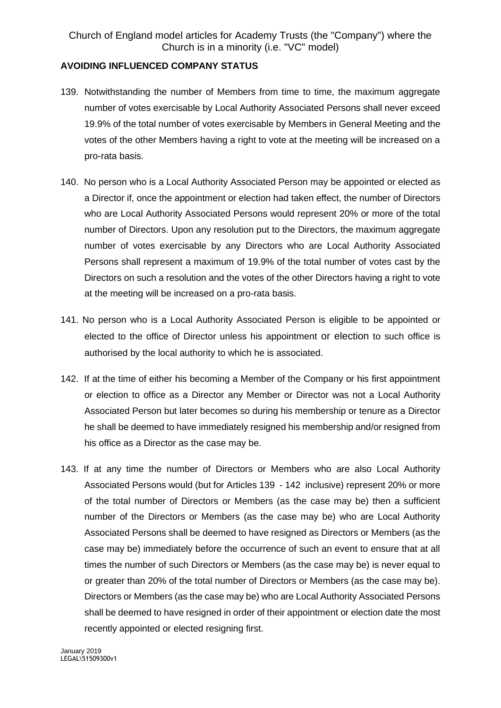## **AVOIDING INFLUENCED COMPANY STATUS**

- 139. Notwithstanding the number of Members from time to time, the maximum aggregate number of votes exercisable by Local Authority Associated Persons shall never exceed 19.9% of the total number of votes exercisable by Members in General Meeting and the votes of the other Members having a right to vote at the meeting will be increased on a pro-rata basis.
- 140. No person who is a Local Authority Associated Person may be appointed or elected as a Director if, once the appointment or election had taken effect, the number of Directors who are Local Authority Associated Persons would represent 20% or more of the total number of Directors. Upon any resolution put to the Directors, the maximum aggregate number of votes exercisable by any Directors who are Local Authority Associated Persons shall represent a maximum of 19.9% of the total number of votes cast by the Directors on such a resolution and the votes of the other Directors having a right to vote at the meeting will be increased on a pro-rata basis.
- 141. No person who is a Local Authority Associated Person is eligible to be appointed or elected to the office of Director unless his appointment or election to such office is authorised by the local authority to which he is associated.
- 142. If at the time of either his becoming a Member of the Company or his first appointment or election to office as a Director any Member or Director was not a Local Authority Associated Person but later becomes so during his membership or tenure as a Director he shall be deemed to have immediately resigned his membership and/or resigned from his office as a Director as the case may be.
- 143. If at any time the number of Directors or Members who are also Local Authority Associated Persons would (but for Articles 139 - 142 inclusive) represent 20% or more of the total number of Directors or Members (as the case may be) then a sufficient number of the Directors or Members (as the case may be) who are Local Authority Associated Persons shall be deemed to have resigned as Directors or Members (as the case may be) immediately before the occurrence of such an event to ensure that at all times the number of such Directors or Members (as the case may be) is never equal to or greater than 20% of the total number of Directors or Members (as the case may be). Directors or Members (as the case may be) who are Local Authority Associated Persons shall be deemed to have resigned in order of their appointment or election date the most recently appointed or elected resigning first.